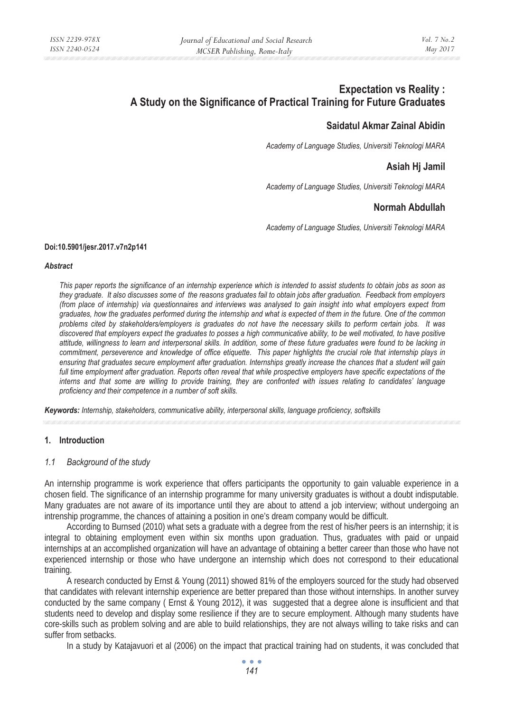# **Expectation vs Reality : A Study on the Significance of Practical Training for Future Graduates**

# **Saidatul Akmar Zainal Abidin**

*Academy of Language Studies, Universiti Teknologi MARA* 

# **Asiah Hj Jamil**

*Academy of Language Studies, Universiti Teknologi MARA* 

# **Normah Abdullah**

*Academy of Language Studies, Universiti Teknologi MARA* 

#### **Doi:10.5901/jesr.2017.v7n2p141**

#### *Abstract*

*This paper reports the significance of an internship experience which is intended to assist students to obtain jobs as soon as they graduate. It also discusses some of the reasons graduates fail to obtain jobs after graduation. Feedback from employers (from place of internship) via questionnaires and interviews was analysed to gain insight into what employers expect from graduates, how the graduates performed during the internship and what is expected of them in the future. One of the common problems cited by stakeholders/employers is graduates do not have the necessary skills to perform certain jobs. It was discovered that employers expect the graduates to posses a high communicative ability, to be well motivated, to have positive attitude, willingness to learn and interpersonal skills. In addition, some of these future graduates were found to be lacking in commitment, perseverence and knowledge of office etiquette. This paper highlights the crucial role that internship plays in ensuring that graduates secure employment after graduation. Internships greatly increase the chances that a student will gain full time employment after graduation. Reports often reveal that while prospective employers have specific expectations of the interns and that some are willing to provide training, they are confronted with issues relating to candidates' language proficiency and their competence in a number of soft skills.* 

*Keywords: Internship, stakeholders, communicative ability, interpersonal skills, language proficiency, softskills* 

## **1. Introduction**

#### *1.1 Background of the study*

An internship programme is work experience that offers participants the opportunity to gain valuable experience in a chosen field. The significance of an internship programme for many university graduates is without a doubt indisputable. Many graduates are not aware of its importance until they are about to attend a job interview; without undergoing an intrenship programme, the chances of attaining a position in one's dream company would be difficult.

According to Burnsed (2010) what sets a graduate with a degree from the rest of his/her peers is an internship; it is integral to obtaining employment even within six months upon graduation. Thus, graduates with paid or unpaid internships at an accomplished organization will have an advantage of obtaining a better career than those who have not experienced internship or those who have undergone an internship which does not correspond to their educational training.

A research conducted by Ernst & Young (2011) showed 81% of the employers sourced for the study had observed that candidates with relevant internship experience are better prepared than those without internships. In another survey conducted by the same company ( Ernst & Young 2012), it was suggested that a degree alone is insufficient and that students need to develop and display some resilience if they are to secure employment. Although many students have core-skills such as problem solving and are able to build relationships, they are not always willing to take risks and can suffer from setbacks.

In a study by Katajavuori et al (2006) on the impact that practical training had on students, it was concluded that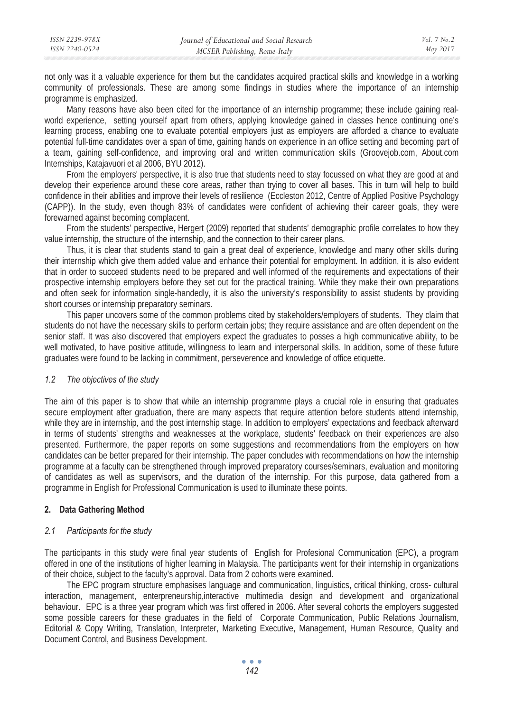not only was it a valuable experience for them but the candidates acquired practical skills and knowledge in a working community of professionals. These are among some findings in studies where the importance of an internship programme is emphasized.

Many reasons have also been cited for the importance of an internship programme; these include gaining realworld experience, setting yourself apart from others, applying knowledge gained in classes hence continuing one's learning process, enabling one to evaluate potential employers just as employers are afforded a chance to evaluate potential full-time candidates over a span of time, gaining hands on experience in an office setting and becoming part of a team, gaining self-confidence, and improving oral and written communication skills (Groovejob.com, About.com Internships, Katajavuori et al 2006, BYU 2012).

From the employers' perspective, it is also true that students need to stay focussed on what they are good at and develop their experience around these core areas, rather than trying to cover all bases. This in turn will help to build confidence in their abilities and improve their levels of resilience (Eccleston 2012, Centre of Applied Positive Psychology (CAPP)). In the study, even though 83% of candidates were confident of achieving their career goals, they were forewarned against becoming complacent.

From the students' perspective, Hergert (2009) reported that students' demographic profile correlates to how they value internship, the structure of the internship, and the connection to their career plans.

Thus, it is clear that students stand to gain a great deal of experience, knowledge and many other skills during their internship which give them added value and enhance their potential for employment. In addition, it is also evident that in order to succeed students need to be prepared and well informed of the requirements and expectations of their prospective internship employers before they set out for the practical training. While they make their own preparations and often seek for information single-handedly, it is also the university's responsibility to assist students by providing short courses or internship preparatory seminars.

This paper uncovers some of the common problems cited by stakeholders/employers of students. They claim that students do not have the necessary skills to perform certain jobs; they require assistance and are often dependent on the senior staff. It was also discovered that employers expect the graduates to posses a high communicative ability, to be well motivated, to have positive attitude, willingness to learn and interpersonal skills. In addition, some of these future graduates were found to be lacking in commitment, perseverence and knowledge of office etiquette.

#### *1.2 The objectives of the study*

The aim of this paper is to show that while an internship programme plays a crucial role in ensuring that graduates secure employment after graduation, there are many aspects that require attention before students attend internship, while they are in internship, and the post internship stage. In addition to employers' expectations and feedback afterward in terms of students' strengths and weaknesses at the workplace, students' feedback on their experiences are also presented. Furthermore, the paper reports on some suggestions and recommendations from the employers on how candidates can be better prepared for their internship. The paper concludes with recommendations on how the internship programme at a faculty can be strengthened through improved preparatory courses/seminars, evaluation and monitoring of candidates as well as supervisors, and the duration of the internship. For this purpose, data gathered from a programme in English for Professional Communication is used to illuminate these points.

## **2. Data Gathering Method**

#### *2.1 Participants for the study*

The participants in this study were final year students of English for Profesional Communication (EPC), a program offered in one of the institutions of higher learning in Malaysia. The participants went for their internship in organizations of their choice, subject to the faculty's approval. Data from 2 cohorts were examined.

The EPC program structure emphasises language and communication, linguistics, critical thinking, cross- cultural interaction, management, enterpreneurship,interactive multimedia design and development and organizational behaviour.EPC is a three year program which was first offered in 2006. After several cohorts the employers suggested some possible careers for these graduates in the field of Corporate Communication, Public Relations Journalism, Editorial & Copy Writing, Translation, Interpreter, Marketing Executive, Management, Human Resource, Quality and Document Control, and Business Development.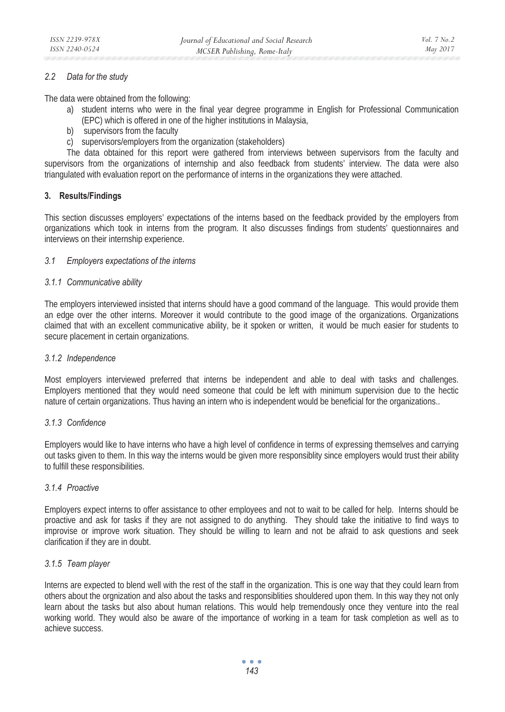## *2.2 Data for the study*

The data were obtained from the following:

- a) student interns who were in the final year degree programme in English for Professional Communication (EPC) which is offered in one of the higher institutions in Malaysia,
- b) supervisors from the faculty
- c) supervisors/employers from the organization (stakeholders)

The data obtained for this report were gathered from interviews between supervisors from the faculty and supervisors from the organizations of internship and also feedback from students' interview. The data were also triangulated with evaluation report on the performance of interns in the organizations they were attached.

## **3. Results/Findings**

This section discusses employers' expectations of the interns based on the feedback provided by the employers from organizations which took in interns from the program. It also discusses findings from students' questionnaires and interviews on their internship experience.

#### *3.1 Employers expectations of the interns*

#### *3.1.1 Communicative ability*

The employers interviewed insisted that interns should have a good command of the language. This would provide them an edge over the other interns. Moreover it would contribute to the good image of the organizations. Organizations claimed that with an excellent communicative ability, be it spoken or written, it would be much easier for students to secure placement in certain organizations.

#### *3.1.2 Independence*

Most employers interviewed preferred that interns be independent and able to deal with tasks and challenges. Employers mentioned that they would need someone that could be left with minimum supervision due to the hectic nature of certain organizations. Thus having an intern who is independent would be beneficial for the organizations..

#### *3.1.3 Confidence*

Employers would like to have interns who have a high level of confidence in terms of expressing themselves and carrying out tasks given to them. In this way the interns would be given more responsiblity since employers would trust their ability to fulfill these responsibilities.

#### *3.1.4 Proactive*

Employers expect interns to offer assistance to other employees and not to wait to be called for help. Interns should be proactive and ask for tasks if they are not assigned to do anything. They should take the initiative to find ways to improvise or improve work situation. They should be willing to learn and not be afraid to ask questions and seek clarification if they are in doubt.

#### *3.1.5 Team player*

Interns are expected to blend well with the rest of the staff in the organization. This is one way that they could learn from others about the orgnization and also about the tasks and responsiblities shouldered upon them. In this way they not only learn about the tasks but also about human relations. This would help tremendously once they venture into the real working world. They would also be aware of the importance of working in a team for task completion as well as to achieve success.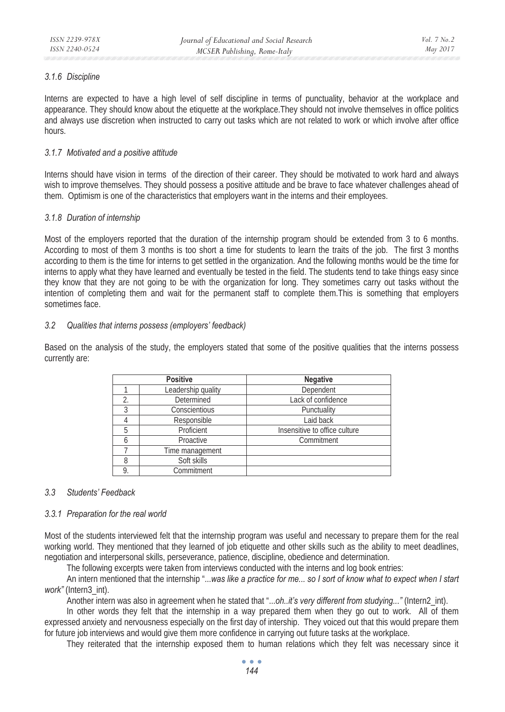#### *3.1.6 Discipline*

Interns are expected to have a high level of self discipline in terms of punctuality, behavior at the workplace and appearance. They should know about the etiquette at the workplace.They should not involve themselves in office politics and always use discretion when instructed to carry out tasks which are not related to work or which involve after office hours.

## *3.1.7 Motivated and a positive attitude*

Interns should have vision in terms of the direction of their career. They should be motivated to work hard and always wish to improve themselves. They should possess a positive attitude and be brave to face whatever challenges ahead of them. Optimism is one of the characteristics that employers want in the interns and their employees.

## *3.1.8 Duration of internship*

Most of the employers reported that the duration of the internship program should be extended from 3 to 6 months. According to most of them 3 months is too short a time for students to learn the traits of the job. The first 3 months according to them is the time for interns to get settled in the organization. And the following months would be the time for interns to apply what they have learned and eventually be tested in the field. The students tend to take things easy since they know that they are not going to be with the organization for long. They sometimes carry out tasks without the intention of completing them and wait for the permanent staff to complete them.This is something that employers sometimes face.

## *3.2 Qualities that interns possess (employers' feedback)*

Based on the analysis of the study, the employers stated that some of the positive qualities that the interns possess currently are:

| <b>Positive</b> |                    | <b>Negative</b>               |
|-----------------|--------------------|-------------------------------|
|                 | Leadership quality | Dependent                     |
| 2.              | Determined         | Lack of confidence            |
| 3               | Conscientious      | Punctuality                   |
|                 | Responsible        | Laid back                     |
| 5               | Proficient         | Insensitive to office culture |
|                 | Proactive          | Commitment                    |
|                 | Time management    |                               |
| 8               | Soft skills        |                               |
| 9.              | Commitment         |                               |

## *3.3 Students' Feedback*

#### *3.3.1 Preparation for the real world*

Most of the students interviewed felt that the internship program was useful and necessary to prepare them for the real working world. They mentioned that they learned of job etiquette and other skills such as the ability to meet deadlines, negotiation and interpersonal skills, perseverance, patience, discipline, obedience and determination.

The following excerpts were taken from interviews conducted with the interns and log book entries:

An intern mentioned that the internship "...*was like a practice for me... so I sort of know what to expect when I start work"* (Intern3\_int).

Another intern was also in agreement when he stated that "...*oh..it's very different from studying..."* (Intern2\_int).

In other words they felt that the internship in a way prepared them when they go out to work. All of them expressed anxiety and nervousness especially on the first day of intership. They voiced out that this would prepare them for future job interviews and would give them more confidence in carrying out future tasks at the workplace.

They reiterated that the internship exposed them to human relations which they felt was necessary since it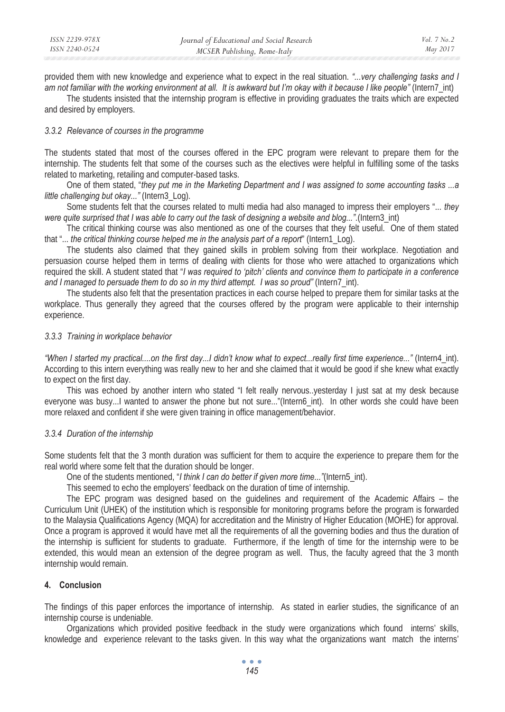provided them with new knowledge and experience what to expect in the real situation. *"...very challenging tasks and I am not familiar with the working environment at all. It is awkward but I'm okay with it because I like people"* (Intern7\_int)

The students insisted that the internship program is effective in providing graduates the traits which are expected and desired by employers.

#### *3.3.2 Relevance of courses in the programme*

The students stated that most of the courses offered in the EPC program were relevant to prepare them for the internship. The students felt that some of the courses such as the electives were helpful in fulfilling some of the tasks related to marketing, retailing and computer-based tasks.

One of them stated, "*they put me in the Marketing Department and I was assigned to some accounting tasks ...a little challenging but okay..."* (Intern3\_Log).

Some students felt that the courses related to multi media had also managed to impress their employers "... *they were quite surprised that I was able to carry out the task of designing a website and blog..."*.(Intern3\_int)

The critical thinking course was also mentioned as one of the courses that they felt useful. One of them stated that "... *the critical thinking course helped me in the analysis part of a report*" (Intern1\_Log).

The students also claimed that they gained skills in problem solving from their workplace. Negotiation and persuasion course helped them in terms of dealing with clients for those who were attached to organizations which required the skill. A student stated that "*I was required to 'pitch' clients and convince them to participate in a conference and I managed to persuade them to do so in my third attempt. I was so proud"* (Intern7\_int).

The students also felt that the presentation practices in each course helped to prepare them for similar tasks at the workplace. Thus generally they agreed that the courses offered by the program were applicable to their internship experience.

#### *3.3.3 Training in workplace behavior*

*"When I started my practical....on the first day...I didn't know what to expect...really first time experience..."* (Intern4\_int). According to this intern everything was really new to her and she claimed that it would be good if she knew what exactly to expect on the first day.

This was echoed by another intern who stated "I felt really nervous..yesterday I just sat at my desk because everyone was busy...I wanted to answer the phone but not sure..."(Intern6\_int). In other words she could have been more relaxed and confident if she were given training in office management/behavior.

#### *3.3.4 Duration of the internship*

Some students felt that the 3 month duration was sufficient for them to acquire the experience to prepare them for the real world where some felt that the duration should be longer.

One of the students mentioned, "*I think I can do better if given more time..."*(Intern5\_int).

This seemed to echo the employers' feedback on the duration of time of internship.

The EPC program was designed based on the guidelines and requirement of the Academic Affairs – the Curriculum Unit (UHEK) of the institution which is responsible for monitoring programs before the program is forwarded to the Malaysia Qualifications Agency (MQA) for accreditation and the Ministry of Higher Education (MOHE) for approval. Once a program is approved it would have met all the requirements of all the governing bodies and thus the duration of the internship is sufficient for students to graduate. Furthermore, if the length of time for the internship were to be extended, this would mean an extension of the degree program as well. Thus, the faculty agreed that the 3 month internship would remain.

#### **4. Conclusion**

The findings of this paper enforces the importance of internship. As stated in earlier studies, the significance of an internship course is undeniable.

Organizations which provided positive feedback in the study were organizations which found interns' skills, knowledge and experience relevant to the tasks given. In this way what the organizations want match the interns'